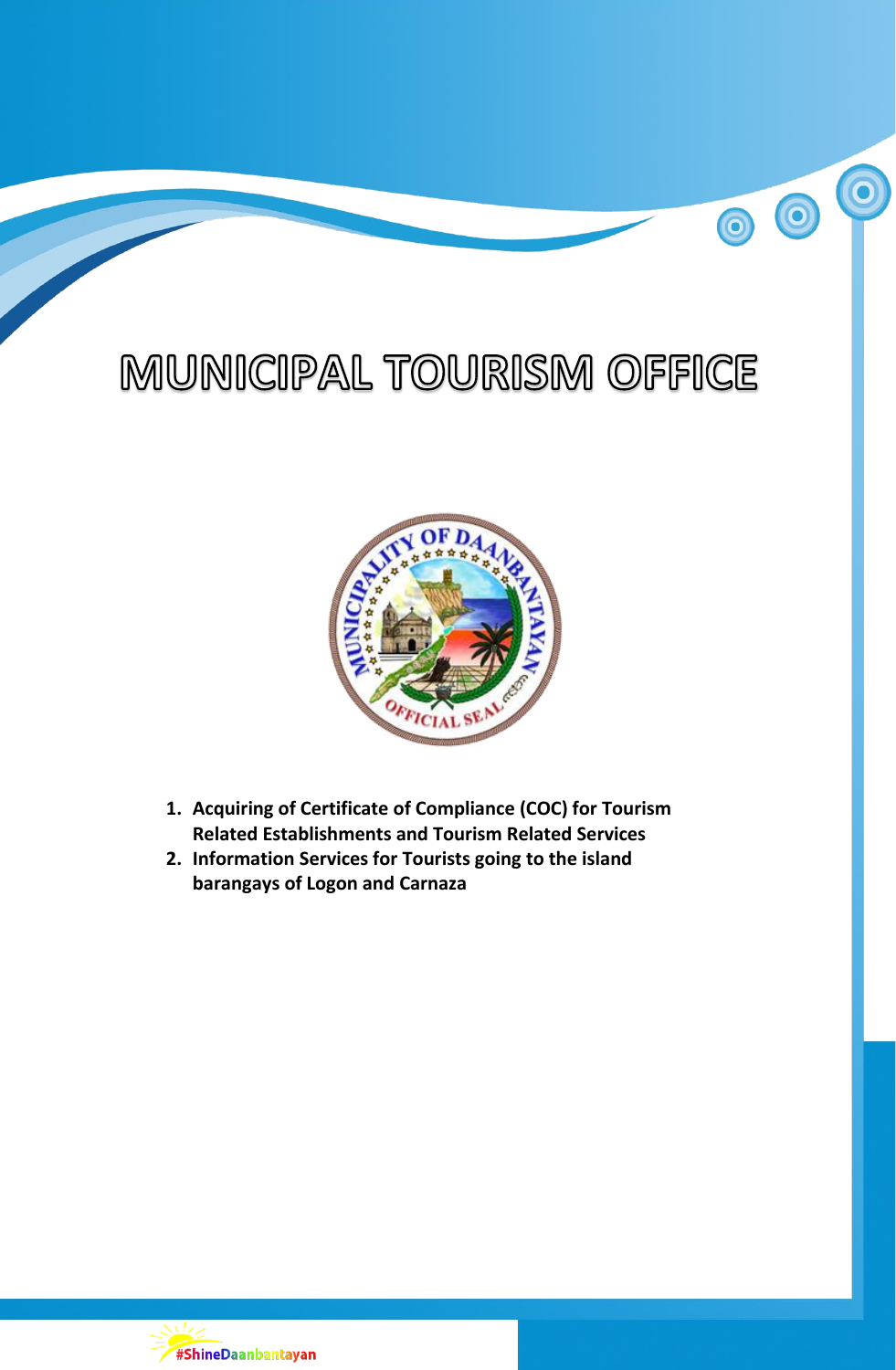## MUNICIPAL TOURISM OFFICE

 $\overline{\mathbf{o}}$ 

 $\bigcirc$ 

 $\bigcirc$ 



- **1. Acquiring of Certificate of Compliance (COC) for Tourism Related Establishments and Tourism Related Services**
- **2. Information Services for Tourists going to the island barangays of Logon and Carnaza**

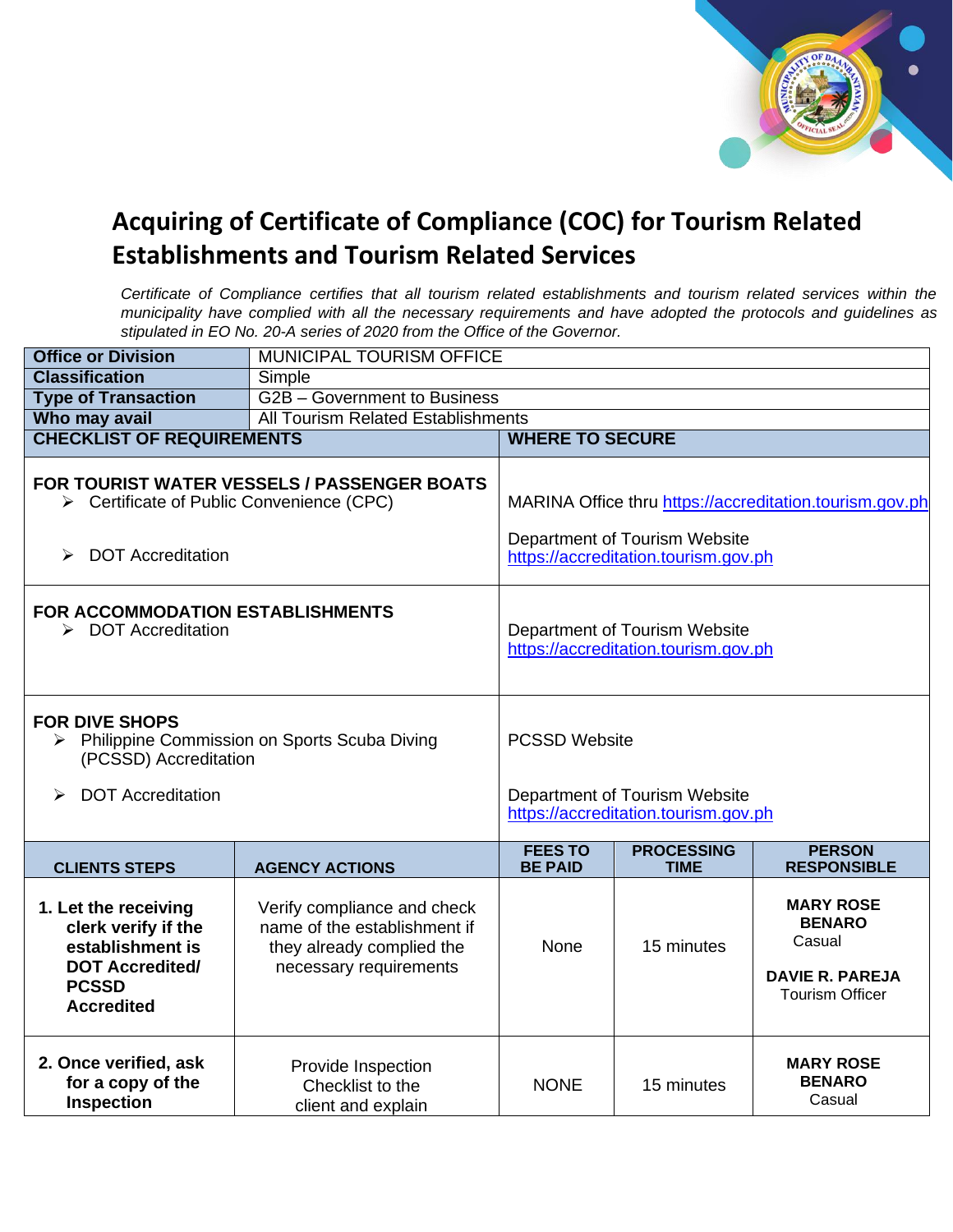

## **Acquiring of Certificate of Compliance (COC) for Tourism Related Establishments and Tourism Related Services**

*Certificate of Compliance certifies that all tourism related establishments and tourism related services within the municipality have complied with all the necessary requirements and have adopted the protocols and guidelines as stipulated in EO No. 20-A series of 2020 from the Office of the Governor.* 

| <b>Office or Division</b>                                                                                                                             | <b>MUNICIPAL TOURISM OFFICE</b>                                                                                    |                                                                                                                                  |                                  |                                                                                                 |  |
|-------------------------------------------------------------------------------------------------------------------------------------------------------|--------------------------------------------------------------------------------------------------------------------|----------------------------------------------------------------------------------------------------------------------------------|----------------------------------|-------------------------------------------------------------------------------------------------|--|
| <b>Classification</b>                                                                                                                                 | Simple                                                                                                             |                                                                                                                                  |                                  |                                                                                                 |  |
| <b>Type of Transaction</b>                                                                                                                            | G2B - Government to Business                                                                                       |                                                                                                                                  |                                  |                                                                                                 |  |
| Who may avail                                                                                                                                         | <b>All Tourism Related Establishments</b>                                                                          |                                                                                                                                  |                                  |                                                                                                 |  |
| <b>CHECKLIST OF REQUIREMENTS</b>                                                                                                                      |                                                                                                                    | <b>WHERE TO SECURE</b>                                                                                                           |                                  |                                                                                                 |  |
| <b>FOR TOURIST WATER VESSELS / PASSENGER BOATS</b><br>> Certificate of Public Convenience (CPC)<br><b>DOT Accreditation</b><br>$\blacktriangleright$  |                                                                                                                    | MARINA Office thru https://accreditation.tourism.gov.ph<br>Department of Tourism Website<br>https://accreditation.tourism.gov.ph |                                  |                                                                                                 |  |
| FOR ACCOMMODATION ESTABLISHMENTS<br>> DOT Accreditation                                                                                               |                                                                                                                    | Department of Tourism Website<br>https://accreditation.tourism.gov.ph                                                            |                                  |                                                                                                 |  |
| <b>FOR DIVE SHOPS</b><br>> Philippine Commission on Sports Scuba Diving<br>(PCSSD) Accreditation<br><b>DOT Accreditation</b><br>$\blacktriangleright$ |                                                                                                                    | <b>PCSSD Website</b><br>Department of Tourism Website<br>https://accreditation.tourism.gov.ph                                    |                                  |                                                                                                 |  |
| <b>CLIENTS STEPS</b>                                                                                                                                  | <b>AGENCY ACTIONS</b>                                                                                              | <b>FEES TO</b><br><b>BE PAID</b>                                                                                                 | <b>PROCESSING</b><br><b>TIME</b> | <b>PERSON</b><br><b>RESPONSIBLE</b>                                                             |  |
| 1. Let the receiving<br>clerk verify if the<br>establishment is<br><b>DOT Accredited/</b><br><b>PCSSD</b><br><b>Accredited</b>                        | Verify compliance and check<br>name of the establishment if<br>they already complied the<br>necessary requirements | <b>None</b>                                                                                                                      | 15 minutes                       | <b>MARY ROSE</b><br><b>BENARO</b><br>Casual<br><b>DAVIE R. PAREJA</b><br><b>Tourism Officer</b> |  |
| 2. Once verified, ask<br>for a copy of the<br>Inspection                                                                                              | Provide Inspection<br>Checklist to the<br>client and explain                                                       | <b>NONE</b>                                                                                                                      | 15 minutes                       | <b>MARY ROSE</b><br><b>BENARO</b><br>Casual                                                     |  |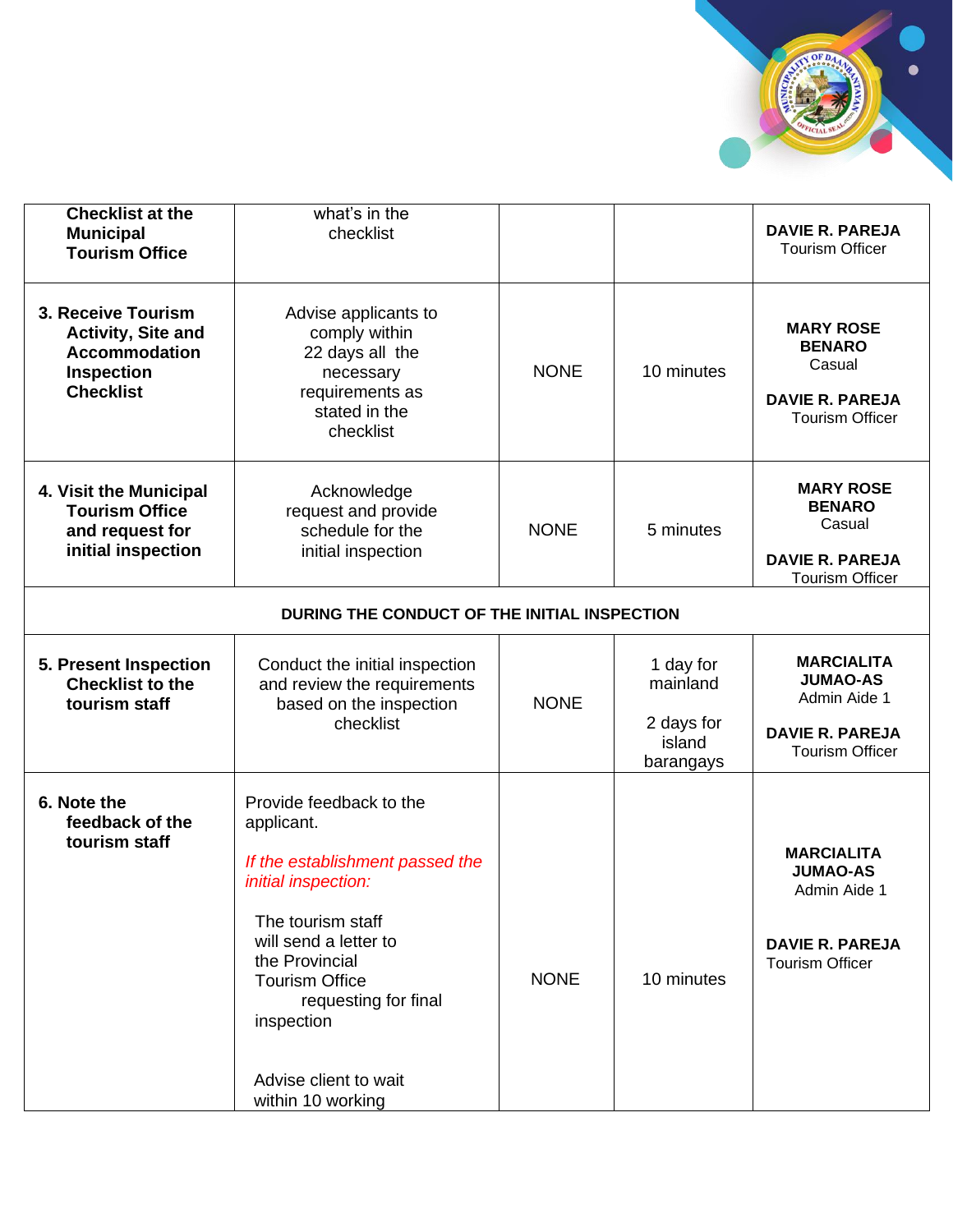

| <b>Checklist at the</b><br><b>Municipal</b><br><b>Tourism Office</b>                                             | what's in the<br>checklist                                                                                                                                                                                                                                                   |             |                                                            | <b>DAVIE R. PAREJA</b><br><b>Tourism Officer</b>                                                         |  |
|------------------------------------------------------------------------------------------------------------------|------------------------------------------------------------------------------------------------------------------------------------------------------------------------------------------------------------------------------------------------------------------------------|-------------|------------------------------------------------------------|----------------------------------------------------------------------------------------------------------|--|
| 3. Receive Tourism<br><b>Activity, Site and</b><br><b>Accommodation</b><br><b>Inspection</b><br><b>Checklist</b> | Advise applicants to<br>comply within<br>22 days all the<br>necessary<br>requirements as<br>stated in the<br>checklist                                                                                                                                                       | <b>NONE</b> | 10 minutes                                                 | <b>MARY ROSE</b><br><b>BENARO</b><br>Casual<br><b>DAVIE R. PAREJA</b><br><b>Tourism Officer</b>          |  |
| 4. Visit the Municipal<br><b>Tourism Office</b><br>and request for<br>initial inspection                         | Acknowledge<br>request and provide<br>schedule for the<br>initial inspection                                                                                                                                                                                                 | <b>NONE</b> | 5 minutes                                                  | <b>MARY ROSE</b><br><b>BENARO</b><br>Casual<br><b>DAVIE R. PAREJA</b><br><b>Tourism Officer</b>          |  |
| DURING THE CONDUCT OF THE INITIAL INSPECTION                                                                     |                                                                                                                                                                                                                                                                              |             |                                                            |                                                                                                          |  |
| 5. Present Inspection<br><b>Checklist to the</b><br>tourism staff                                                | Conduct the initial inspection<br>and review the requirements<br>based on the inspection<br>checklist                                                                                                                                                                        | <b>NONE</b> | 1 day for<br>mainland<br>2 days for<br>island<br>barangays | <b>MARCIALITA</b><br><b>JUMAO-AS</b><br>Admin Aide 1<br><b>DAVIE R. PAREJA</b><br><b>Tourism Officer</b> |  |
| 6. Note the<br>feedback of the<br>tourism staff                                                                  | Provide feedback to the<br>applicant.<br>If the establishment passed the<br>initial inspection:<br>The tourism staff<br>will send a letter to<br>the Provincial<br><b>Tourism Office</b><br>requesting for final<br>inspection<br>Advise client to wait<br>within 10 working | <b>NONE</b> | 10 minutes                                                 | <b>MARCIALITA</b><br><b>JUMAO-AS</b><br>Admin Aide 1<br><b>DAVIE R. PAREJA</b><br><b>Tourism Officer</b> |  |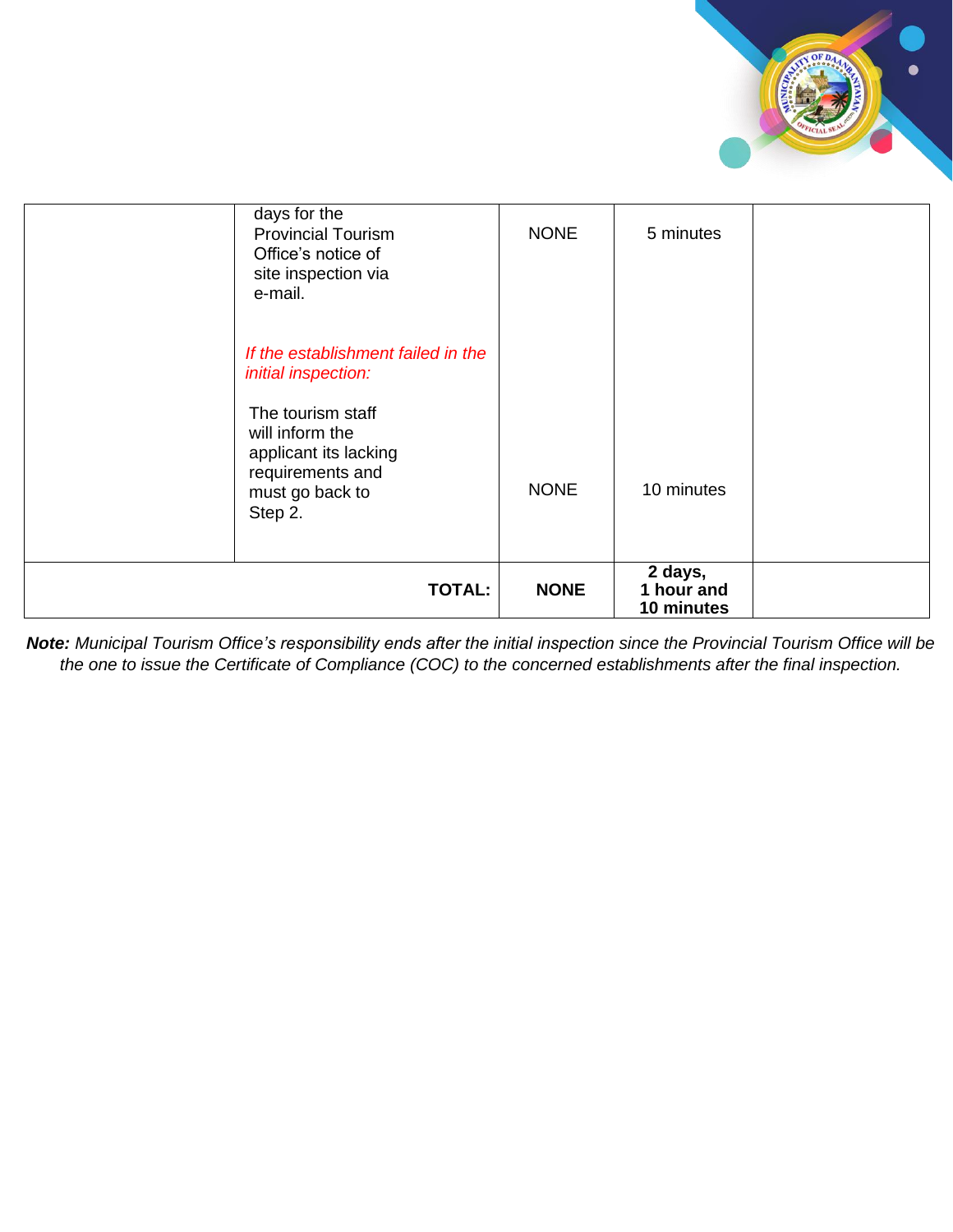

| days for the<br><b>Provincial Tourism</b><br>Office's notice of<br>site inspection via<br>e-mail.                                                                            | <b>NONE</b> | 5 minutes                                        |  |
|------------------------------------------------------------------------------------------------------------------------------------------------------------------------------|-------------|--------------------------------------------------|--|
| If the establishment failed in the<br>initial inspection:<br>The tourism staff<br>will inform the<br>applicant its lacking<br>requirements and<br>must go back to<br>Step 2. | <b>NONE</b> | 10 minutes                                       |  |
| <b>TOTAL:</b>                                                                                                                                                                | <b>NONE</b> | $\overline{2}$ days,<br>1 hour and<br>10 minutes |  |

*Note: Municipal Tourism Office's responsibility ends after the initial inspection since the Provincial Tourism Office will be the one to issue the Certificate of Compliance (COC) to the concerned establishments after the final inspection.*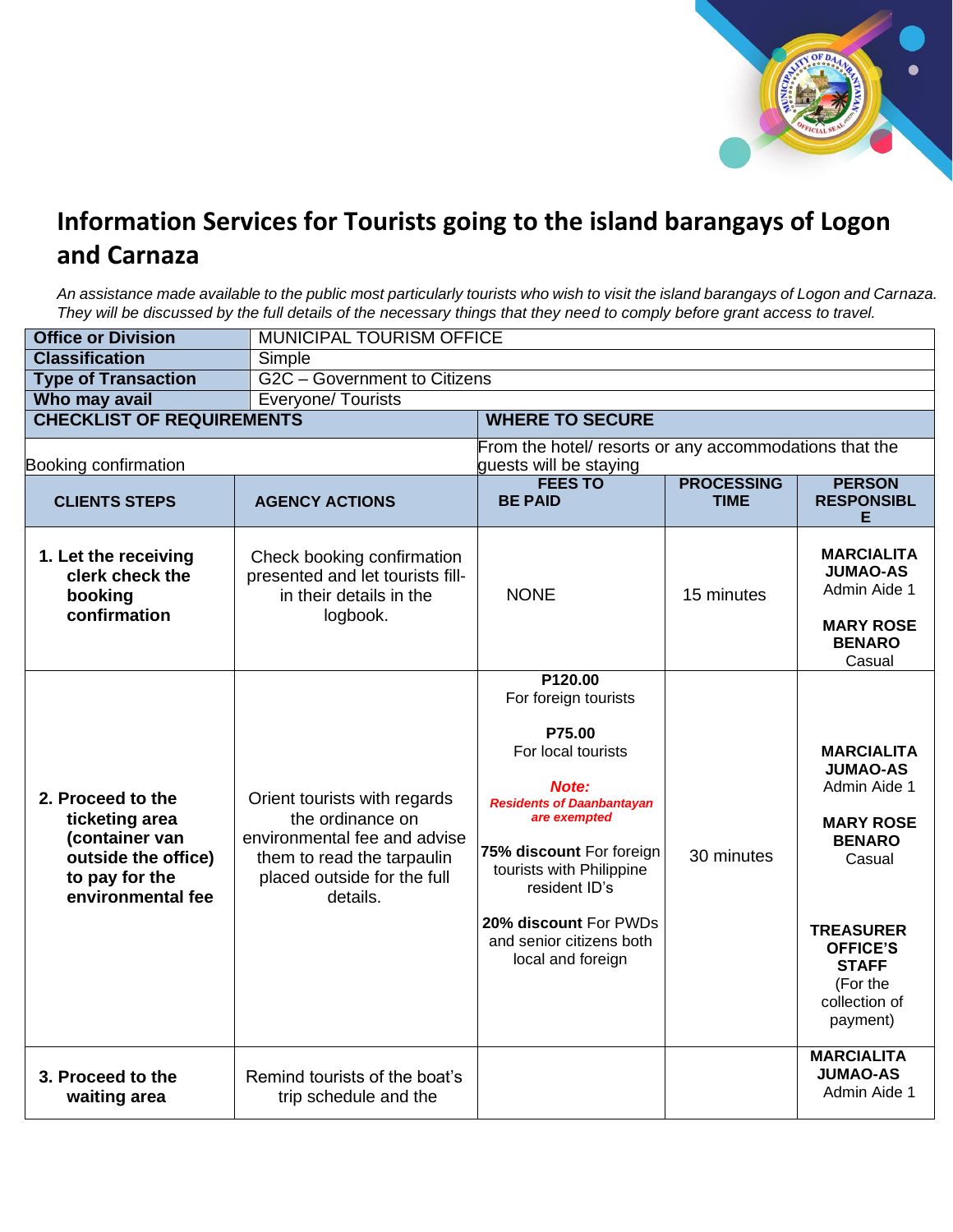

## **Information Services for Tourists going to the island barangays of Logon and Carnaza**

*An assistance made available to the public most particularly tourists who wish to visit the island barangays of Logon and Carnaza. They will be discussed by the full details of the necessary things that they need to comply before grant access to travel.*

| <b>Office or Division</b>                                                                                           | <b>MUNICIPAL TOURISM OFFICE</b>                                                                                                                           |                                                                                                                                                                                                                                                                                 |            |                                                                                                                                                                                                     |  |
|---------------------------------------------------------------------------------------------------------------------|-----------------------------------------------------------------------------------------------------------------------------------------------------------|---------------------------------------------------------------------------------------------------------------------------------------------------------------------------------------------------------------------------------------------------------------------------------|------------|-----------------------------------------------------------------------------------------------------------------------------------------------------------------------------------------------------|--|
| <b>Classification</b>                                                                                               | Simple                                                                                                                                                    |                                                                                                                                                                                                                                                                                 |            |                                                                                                                                                                                                     |  |
| <b>Type of Transaction</b>                                                                                          |                                                                                                                                                           | G2C - Government to Citizens                                                                                                                                                                                                                                                    |            |                                                                                                                                                                                                     |  |
| Who may avail                                                                                                       | <b>Everyone/Tourists</b>                                                                                                                                  |                                                                                                                                                                                                                                                                                 |            |                                                                                                                                                                                                     |  |
| <b>CHECKLIST OF REQUIREMENTS</b>                                                                                    |                                                                                                                                                           | <b>WHERE TO SECURE</b>                                                                                                                                                                                                                                                          |            |                                                                                                                                                                                                     |  |
| Booking confirmation                                                                                                | From the hotell resorts or any accommodations that the<br>guests will be staying                                                                          |                                                                                                                                                                                                                                                                                 |            |                                                                                                                                                                                                     |  |
| <b>CLIENTS STEPS</b>                                                                                                | <b>AGENCY ACTIONS</b>                                                                                                                                     | <b>FEES TO</b><br><b>PROCESSING</b><br><b>PERSON</b><br><b>RESPONSIBL</b><br><b>BE PAID</b><br><b>TIME</b><br>Е                                                                                                                                                                 |            |                                                                                                                                                                                                     |  |
| 1. Let the receiving<br>clerk check the<br>booking<br>confirmation                                                  | Check booking confirmation<br>presented and let tourists fill-<br>in their details in the<br>logbook.                                                     | <b>NONE</b>                                                                                                                                                                                                                                                                     | 15 minutes | <b>MARCIALITA</b><br><b>JUMAO-AS</b><br>Admin Aide 1<br><b>MARY ROSE</b><br><b>BENARO</b><br>Casual                                                                                                 |  |
| 2. Proceed to the<br>ticketing area<br>(container van<br>outside the office)<br>to pay for the<br>environmental fee | Orient tourists with regards<br>the ordinance on<br>environmental fee and advise<br>them to read the tarpaulin<br>placed outside for the full<br>details. | P120.00<br>For foreign tourists<br>P75.00<br>For local tourists<br>Note:<br><b>Residents of Daanbantayan</b><br>are exempted<br>75% discount For foreign<br>tourists with Philippine<br>resident ID's<br>20% discount For PWDs<br>and senior citizens both<br>local and foreign | 30 minutes | <b>MARCIALITA</b><br><b>JUMAO-AS</b><br>Admin Aide 1<br><b>MARY ROSE</b><br><b>BENARO</b><br>Casual<br><b>TREASURER</b><br><b>OFFICE'S</b><br><b>STAFF</b><br>(For the<br>collection of<br>payment) |  |
| 3. Proceed to the<br>waiting area                                                                                   | Remind tourists of the boat's<br>trip schedule and the                                                                                                    |                                                                                                                                                                                                                                                                                 |            | <b>MARCIALITA</b><br><b>JUMAO-AS</b><br>Admin Aide 1                                                                                                                                                |  |